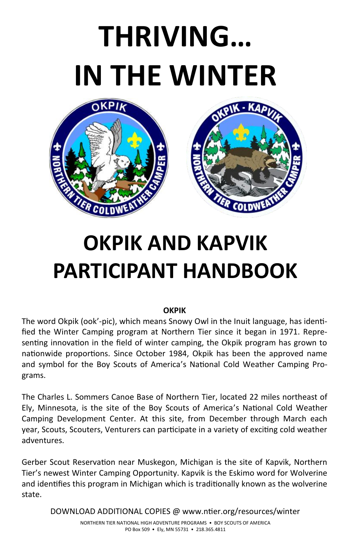# **THRIVING… IN THE WINTER**



# **OKPIK AND KAPVIK PARTICIPANT HANDBOOK**

#### **OKPIK**

The word Okpik (ook'-pic), which means Snowy Owl in the Inuit language, has identified the Winter Camping program at Northern Tier since it began in 1971. Representing innovation in the field of winter camping, the Okpik program has grown to nationwide proportions. Since October 1984, Okpik has been the approved name and symbol for the Boy Scouts of America's National Cold Weather Camping Programs.

The Charles L. Sommers Canoe Base of Northern Tier, located 22 miles northeast of Ely, Minnesota, is the site of the Boy Scouts of America's National Cold Weather Camping Development Center. At this site, from December through March each year, Scouts, Scouters, Venturers can participate in a variety of exciting cold weather adventures.

Gerber Scout Reservation near Muskegon, Michigan is the site of Kapvik, Northern Tier's newest Winter Camping Opportunity. Kapvik is the Eskimo word for Wolverine and identifies this program in Michigan which is traditionally known as the wolverine state.

DOWNLOAD ADDITIONAL COPIES @ www.ntier.org/resources/winter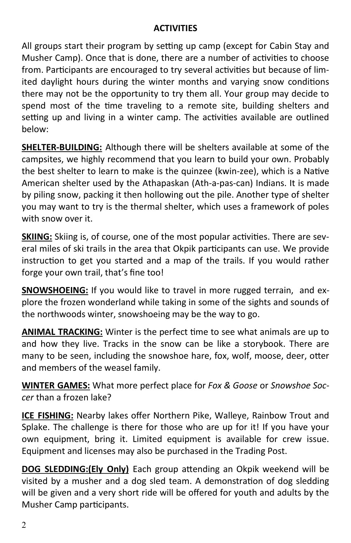#### **ACTIVITIES**

All groups start their program by setting up camp (except for Cabin Stay and Musher Camp). Once that is done, there are a number of activities to choose from. Participants are encouraged to try several activities but because of limited daylight hours during the winter months and varying snow conditions there may not be the opportunity to try them all. Your group may decide to spend most of the time traveling to a remote site, building shelters and setting up and living in a winter camp. The activities available are outlined below:

**SHELTER-BUILDING:** Although there will be shelters available at some of the campsites, we highly recommend that you learn to build your own. Probably the best shelter to learn to make is the quinzee (kwin-zee), which is a Native American shelter used by the Athapaskan (Ath-a-pas-can) Indians. It is made by piling snow, packing it then hollowing out the pile. Another type of shelter you may want to try is the thermal shelter, which uses a framework of poles with snow over it.

**SKIING:** Skiing is, of course, one of the most popular activities. There are several miles of ski trails in the area that Okpik participants can use. We provide instruction to get you started and a map of the trails. If you would rather forge your own trail, that's fine too!

**SNOWSHOEING:** If you would like to travel in more rugged terrain, and explore the frozen wonderland while taking in some of the sights and sounds of the northwoods winter, snowshoeing may be the way to go.

**ANIMAL TRACKING:** Winter is the perfect time to see what animals are up to and how they live. Tracks in the snow can be like a storybook. There are many to be seen, including the snowshoe hare, fox, wolf, moose, deer, otter and members of the weasel family.

**WINTER GAMES:** What more perfect place for *Fox & Goose* or *Snowshoe Soccer* than a frozen lake?

**ICE FISHING:** Nearby lakes offer Northern Pike, Walleye, Rainbow Trout and Splake. The challenge is there for those who are up for it! If you have your own equipment, bring it. Limited equipment is available for crew issue. Equipment and licenses may also be purchased in the Trading Post.

**DOG SLEDDING:(Ely Only)** Each group attending an Okpik weekend will be visited by a musher and a dog sled team. A demonstration of dog sledding will be given and a very short ride will be offered for youth and adults by the Musher Camp participants.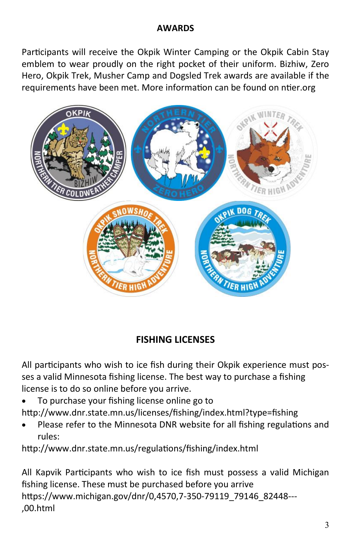#### **AWARDS**

Participants will receive the Okpik Winter Camping or the Okpik Cabin Stay emblem to wear proudly on the right pocket of their uniform. Bizhiw, Zero Hero, Okpik Trek, Musher Camp and Dogsled Trek awards are available if the requirements have been met. More information can be found on ntier.org



### **FISHING LICENSES**

All participants who wish to ice fish during their Okpik experience must posses a valid Minnesota fishing license. The best way to purchase a fishing license is to do so online before you arrive.

- To purchase your fishing license online go to http://www.dnr.state.mn.us/licenses/fishing/index.html?type=fishing
- Please refer to the Minnesota DNR website for all fishing regulations and rules:

http://www.dnr.state.mn.us/regulations/fishing/index.html

All Kapvik Participants who wish to ice fish must possess a valid Michigan fishing license. These must be purchased before you arrive https://www.michigan.gov/dnr/0,4570,7-350-79119\_79146\_82448--- ,00.html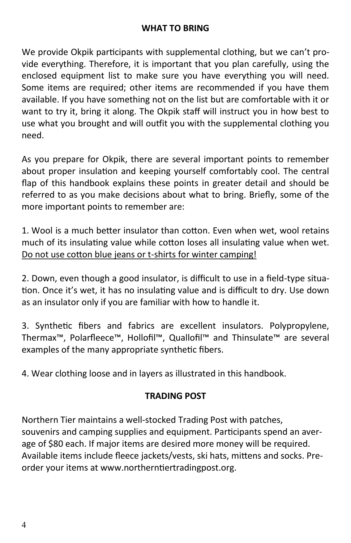### **WHAT TO BRING**

We provide Okpik participants with supplemental clothing, but we can't provide everything. Therefore, it is important that you plan carefully, using the enclosed equipment list to make sure you have everything you will need. Some items are required; other items are recommended if you have them available. If you have something not on the list but are comfortable with it or want to try it, bring it along. The Okpik staff will instruct you in how best to use what you brought and will outfit you with the supplemental clothing you need.

As you prepare for Okpik, there are several important points to remember about proper insulation and keeping yourself comfortably cool. The central flap of this handbook explains these points in greater detail and should be referred to as you make decisions about what to bring. Briefly, some of the more important points to remember are:

1. Wool is a much better insulator than cotton. Even when wet, wool retains much of its insulating value while cotton loses all insulating value when wet. Do not use cotton blue jeans or t-shirts for winter camping!

2. Down, even though a good insulator, is difficult to use in a field-type situation. Once it's wet, it has no insulating value and is difficult to dry. Use down as an insulator only if you are familiar with how to handle it.

3. Synthetic fibers and fabrics are excellent insulators. Polypropylene, Thermax™, Polarfleece™, Hollofil™, Quallofil™ and Thinsulate™ are several examples of the many appropriate synthetic fibers.

4. Wear clothing loose and in layers as illustrated in this handbook.

### **TRADING POST**

Northern Tier maintains a well-stocked Trading Post with patches, souvenirs and camping supplies and equipment. Participants spend an average of \$80 each. If major items are desired more money will be required. Available items include fleece jackets/vests, ski hats, mittens and socks. Preorder your items at www.northerntiertradingpost.org.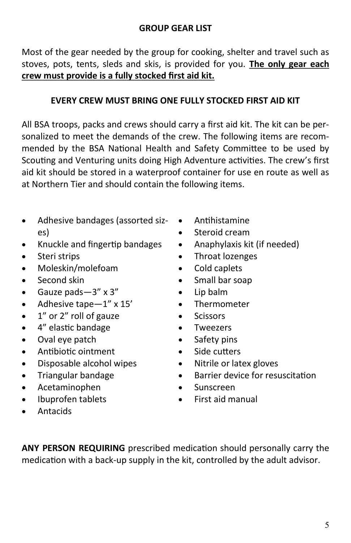Most of the gear needed by the group for cooking, shelter and travel such as stoves, pots, tents, sleds and skis, is provided for you. **The only gear each crew must provide is a fully stocked first aid kit.**

#### **EVERY CREW MUST BRING ONE FULLY STOCKED FIRST AID KIT**

All BSA troops, packs and crews should carry a first aid kit. The kit can be personalized to meet the demands of the crew. The following items are recommended by the BSA National Health and Safety Committee to be used by Scouting and Venturing units doing High Adventure activities. The crew's first aid kit should be stored in a waterproof container for use en route as well as at Northern Tier and should contain the following items.

- Adhesive bandages (assorted sizes)
- Knuckle and fingertip bandages
- Steri strips
- Moleskin/molefoam
- Second skin
- Gauze pads—3" x 3"
- Adhesive tape—1" x 15'
- 1" or 2" roll of gauze
- 4" elastic bandage
- Oval eye patch
- Antibiotic ointment
- Disposable alcohol wipes
- Triangular bandage
- Acetaminophen
- Ibuprofen tablets
- Antacids
- Antihistamine
- Steroid cream
- Anaphylaxis kit (if needed)
- Throat lozenges
- Cold caplets
- Small bar soap
- Lip balm
- **Thermometer**
- Scissors
- **Tweezers**
- Safety pins
- Side cutters
- Nitrile or latex gloves
- Barrier device for resuscitation
- Sunscreen
- First aid manual
- **ANY PERSON REQUIRING** prescribed medication should personally carry the medication with a back-up supply in the kit, controlled by the adult advisor.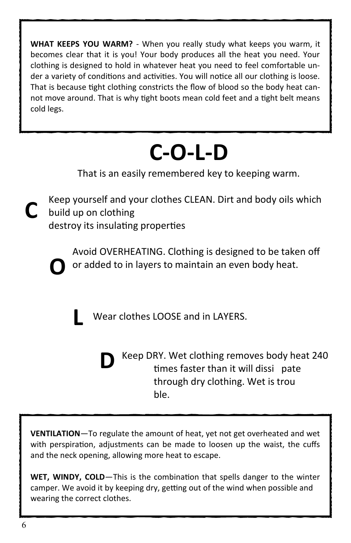**WHAT KEEPS YOU WARM?** - When you really study what keeps you warm, it becomes clear that it is you! Your body produces all the heat you need. Your clothing is designed to hold in whatever heat you need to feel comfortable under a variety of conditions and activities. You will notice all our clothing is loose. That is because tight clothing constricts the flow of blood so the body heat cannot move around. That is why tight boots mean cold feet and a tight belt means cold legs.

## **C-O-L-D**

That is an easily remembered key to keeping warm.

Keep yourself and your clothes CLEAN. Dirt and body oils which **C** build up on clothing

destroy its insulating properties

Avoid OVERHEATING. Clothing is designed to be taken off or added to in layers to maintain an even body heat. **O**

Wear clothes LOOSE and in LAYERS. **L**

Keep DRY. Wet clothing removes body heat 240 times faster than it will dissi pate through dry clothing. Wet is trou ble. **D**

**VENTILATION**—To regulate the amount of heat, yet not get overheated and wet with perspiration, adjustments can be made to loosen up the waist, the cuffs and the neck opening, allowing more heat to escape.

**WET, WINDY, COLD**—This is the combination that spells danger to the winter camper. We avoid it by keeping dry, getting out of the wind when possible and wearing the correct clothes.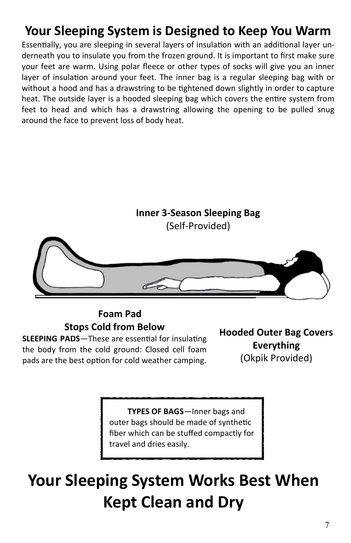### **Your Sleeping System is Designed to Keep You Warm**

Essentially, you are sleeping in several layers of insulation with an additional layer underneath you to insulate you from the frozen ground. It is important to first make sure your feet are warm. Using polar fleece or other types of socks will give you an inner layer of insulation around your feet. The inner bag is a regular sleeping bag with or without a hood and has a drawstring to be tightened down slightly in order to capture heat. The outside layer is a hooded sleeping bag which covers the entire system from feet to head and which has a drawstring allowing the opening to be pulled snug around the face to prevent loss of body heat.



### **Foam Pad Stops Cold from Below**

**SLEEPING PADS**—These are essential for insulating the body from the cold ground: Closed cell foam pads are the best option for cold weather camping. **Hooded Outer Bag Covers Everything** (Okpik Provided)

 **TYPES OF BAGS**—Inner bags and outer bags should be made of synthetic fiber which can be stuffed compactly for travel and dries easily.

### **Your Sleeping System Works Best When Kept Clean and Dry**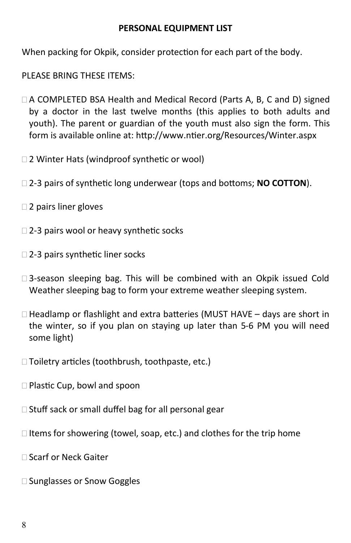#### **PERSONAL EQUIPMENT LIST**

When packing for Okpik, consider protection for each part of the body.

PLEASE BRING THESE ITEMS:

- $\Box$  A COMPLETED BSA Health and Medical Record (Parts A, B, C and D) signed by a doctor in the last twelve months (this applies to both adults and youth). The parent or guardian of the youth must also sign the form. This form is available online at: http://www.ntier.org/Resources/Winter.aspx
- □ 2 Winter Hats (windproof synthetic or wool)
- 2-3 pairs of synthetic long underwear (tops and bottoms; **NO COTTON**).
- □ 2 pairs liner gloves
- □ 2-3 pairs wool or heavy synthetic socks
- □ 2-3 pairs synthetic liner socks
- □ 3-season sleeping bag. This will be combined with an Okpik issued Cold Weather sleeping bag to form your extreme weather sleeping system.
- $\Box$  Headlamp or flashlight and extra batteries (MUST HAVE days are short in the winter, so if you plan on staying up later than 5-6 PM you will need some light)
- □ Toiletry articles (toothbrush, toothpaste, etc.)
- □ Plastic Cup, bowl and spoon
- $\Box$  Stuff sack or small duffel bag for all personal gear
- $\Box$  Items for showering (towel, soap, etc.) and clothes for the trip home
- □ Scarf or Neck Gaiter
- □ Sunglasses or Snow Goggles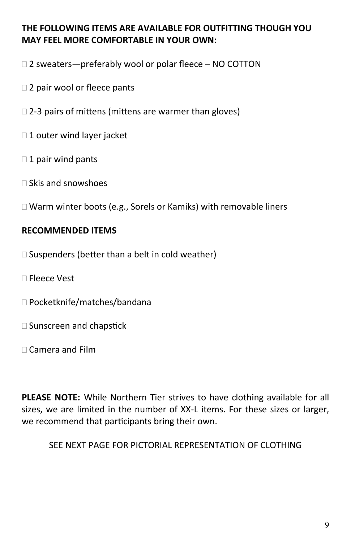### **THE FOLLOWING ITEMS ARE AVAILABLE FOR OUTFITTING THOUGH YOU MAY FEEL MORE COMFORTABLE IN YOUR OWN:**

- $\Box$  2 sweaters—preferably wool or polar fleece NO COTTON
- □ 2 pair wool or fleece pants
- $\Box$  2-3 pairs of mittens (mittens are warmer than gloves)
- $\Box$  1 outer wind layer jacket
- $\Box$  1 pair wind pants
- $\Box$  Skis and snowshoes
- Warm winter boots (e.g., Sorels or Kamiks) with removable liners

### **RECOMMENDED ITEMS**

- $\square$  Suspenders (better than a belt in cold weather)
- Fleece Vest
- □ Pocketknife/matches/bandana
- □ Sunscreen and chapstick
- Camera and Film

**PLEASE NOTE:** While Northern Tier strives to have clothing available for all sizes, we are limited in the number of XX-L items. For these sizes or larger, we recommend that participants bring their own.

SEE NEXT PAGE FOR PICTORIAL REPRESENTATION OF CLOTHING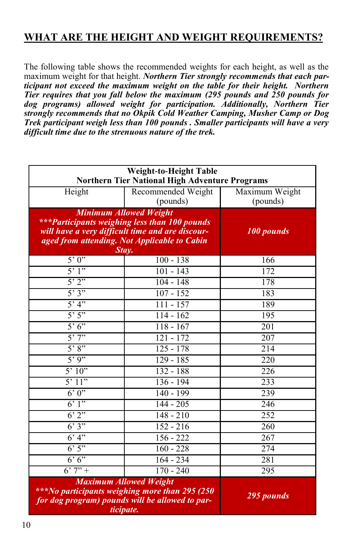### **WHAT ARE THE HEIGHT AND WEIGHT REQUIREMENTS?**

The following table shows the recommended weights for each height, as well as the maximum weight for that height. *Northern Tier strongly recommends that each participant not exceed the maximum weight on the table for their height. Northern Tier requires that you fall below the maximum (295 pounds and 250 pounds for dog programs) allowed weight for participation. Additionally, Northern Tier strongly recommends that no Okpik Cold Weather Camping, Musher Camp or Dog Trek participant weigh less than 100 pounds . Smaller participants will have a very difficult time due to the strenuous nature of the trek.* 

| <b>Weight-to-Height Table</b><br><b>Northern Tier National High Adventure Programs</b>                                                           |                    |                  |
|--------------------------------------------------------------------------------------------------------------------------------------------------|--------------------|------------------|
| Height                                                                                                                                           | Recommended Weight | Maximum Weight   |
|                                                                                                                                                  | (pounds)           | (pounds)         |
| <b>Minimum Allowed Weight</b>                                                                                                                    |                    |                  |
| ***Participants weighing less than 100 pounds                                                                                                    |                    |                  |
| will have a very difficult time and are discour-                                                                                                 |                    | 100 pounds       |
| aged from attending. Not Applicable to Cabin<br>Stav.                                                                                            |                    |                  |
| 5'0'                                                                                                                                             | $100 - 138$        | 166              |
| $\overline{5'1''}$                                                                                                                               | $101 - 143$        | 172              |
| 5'2''                                                                                                                                            | $104 - 148$        | 178              |
| 5'3''                                                                                                                                            | $107 - 152$        | 183              |
| 5'4"                                                                                                                                             | $111 - 157$        | 189              |
| 5'5''                                                                                                                                            | $114 - 162$        | 195              |
| 5'6'                                                                                                                                             | $118 - 167$        | 201              |
| 5'7''                                                                                                                                            | $121 - 172$        | 207              |
| 5'8''                                                                                                                                            | $125 - 178$        | 214              |
| 5'9''                                                                                                                                            | $129 - 185$        | 220              |
| 5'10''                                                                                                                                           | $132 - 188$        | $\overline{226}$ |
| 5'11"                                                                                                                                            | 136 - 194          | 233              |
| 6'0''                                                                                                                                            | 140 - 199          | 239              |
| 6'1''                                                                                                                                            | $144 - 205$        | 246              |
| 6'2''                                                                                                                                            | $148 - 210$        | 252              |
| 6'3''                                                                                                                                            | $152 - 216$        | 260              |
| 6'4"                                                                                                                                             | $156 - 222$        | 267              |
| 6'5''                                                                                                                                            | $160 - 228$        | 274              |
| 6'6'                                                                                                                                             | $164 - 234$        | 281              |
| $6'7'' +$                                                                                                                                        | $170 - 240$        | $\overline{295}$ |
| <b>Maximum Allowed Weight</b><br>***No participants weighing more than 295 (250)<br>for dog program) pounds will be allowed to par-<br>ticipate. |                    | 295 pounds       |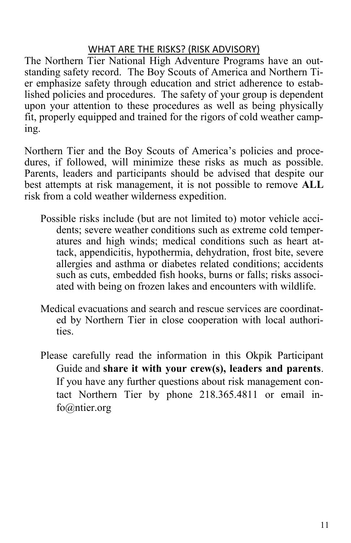### WHAT ARE THE RISKS? (RISK ADVISORY)

The Northern Tier National High Adventure Programs have an outstanding safety record. The Boy Scouts of America and Northern Tier emphasize safety through education and strict adherence to established policies and procedures. The safety of your group is dependent upon your attention to these procedures as well as being physically fit, properly equipped and trained for the rigors of cold weather camping.

Northern Tier and the Boy Scouts of America's policies and procedures, if followed, will minimize these risks as much as possible. Parents, leaders and participants should be advised that despite our best attempts at risk management, it is not possible to remove **ALL**  risk from a cold weather wilderness expedition.

- Possible risks include (but are not limited to) motor vehicle accidents; severe weather conditions such as extreme cold temperatures and high winds; medical conditions such as heart attack, appendicitis, hypothermia, dehydration, frost bite, severe allergies and asthma or diabetes related conditions; accidents such as cuts, embedded fish hooks, burns or falls; risks associated with being on frozen lakes and encounters with wildlife.
- Medical evacuations and search and rescue services are coordinated by Northern Tier in close cooperation with local authorities.
- Please carefully read the information in this Okpik Participant Guide and **share it with your crew(s), leaders and parents**. If you have any further questions about risk management contact Northern Tier by phone 218.365.4811 or email info@ntier.org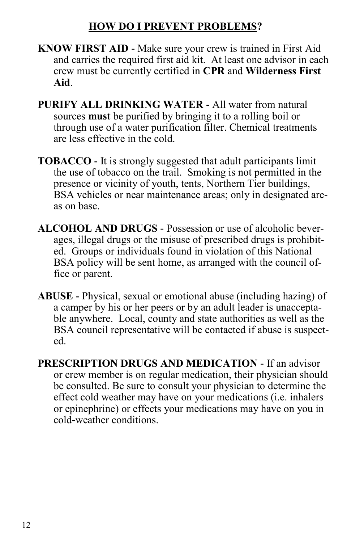### **HOW DO I PREVENT PROBLEMS?**

- **KNOW FIRST AID -** Make sure your crew is trained in First Aid and carries the required first aid kit. At least one advisor in each crew must be currently certified in **CPR** and **Wilderness First Aid**.
- **PURIFY ALL DRINKING WATER -** All water from natural sources **must** be purified by bringing it to a rolling boil or through use of a water purification filter. Chemical treatments are less effective in the cold.
- **TOBACCO -** It is strongly suggested that adult participants limit the use of tobacco on the trail. Smoking is not permitted in the presence or vicinity of youth, tents, Northern Tier buildings, BSA vehicles or near maintenance areas; only in designated areas on base.
- **ALCOHOL AND DRUGS -** Possession or use of alcoholic beverages, illegal drugs or the misuse of prescribed drugs is prohibited. Groups or individuals found in violation of this National BSA policy will be sent home, as arranged with the council office or parent.
- **ABUSE -** Physical, sexual or emotional abuse (including hazing) of a camper by his or her peers or by an adult leader is unacceptable anywhere. Local, county and state authorities as well as the BSA council representative will be contacted if abuse is suspected.
- **PRESCRIPTION DRUGS AND MEDICATION -** If an advisor or crew member is on regular medication, their physician should be consulted. Be sure to consult your physician to determine the effect cold weather may have on your medications (i.e. inhalers or epinephrine) or effects your medications may have on you in cold-weather conditions.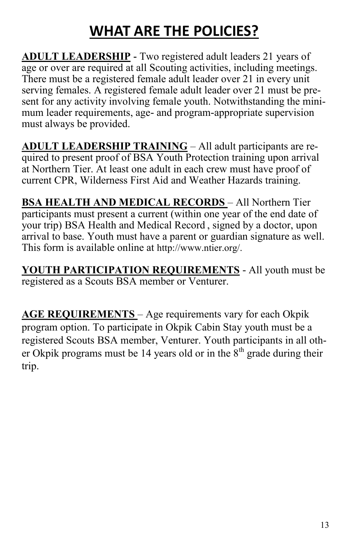### **WHAT ARE THE POLICIES?**

**ADULT LEADERSHIP -** Two registered adult leaders 21 years of age or over are required at all Scouting activities, including meetings. There must be a registered female adult leader over 21 in every unit serving females. A registered female adult leader over 21 must be present for any activity involving female youth. Notwithstanding the minimum leader requirements, age- and program-appropriate supervision must always be provided.

**ADULT LEADERSHIP TRAINING** – All adult participants are required to present proof of BSA Youth Protection training upon arrival at Northern Tier. At least one adult in each crew must have proof of current CPR, Wilderness First Aid and Weather Hazards training.

**BSA HEALTH AND MEDICAL RECORDS** – All Northern Tier participants must present a current (within one year of the end date of your trip) BSA Health and Medical Record , signed by a doctor, upon arrival to base. Youth must have a parent or guardian signature as well. This form is available online at http://www.ntier.org/.

**YOUTH PARTICIPATION REQUIREMENTS** - All youth must be registered as a Scouts BSA member or Venturer.

**AGE REQUIREMENTS** – Age requirements vary for each Okpik program option. To participate in Okpik Cabin Stay youth must be a registered Scouts BSA member, Venturer. Youth participants in all other Okpik programs must be 14 years old or in the  $8<sup>th</sup>$  grade during their trip.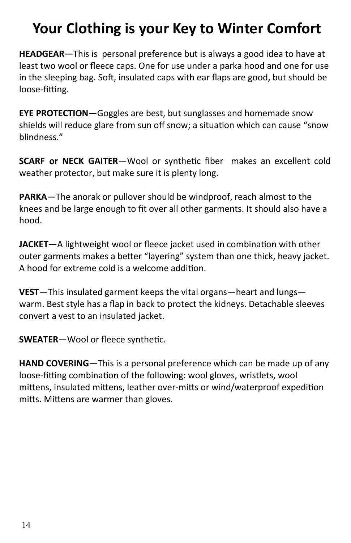### **Your Clothing is your Key to Winter Comfort**

**HEADGEAR**—This is personal preference but is always a good idea to have at least two wool or fleece caps. One for use under a parka hood and one for use in the sleeping bag. Soft, insulated caps with ear flaps are good, but should be loose-fitting.

**EYE PROTECTION**—Goggles are best, but sunglasses and homemade snow shields will reduce glare from sun off snow; a situation which can cause "snow blindness."

**SCARF or NECK GAITER**—Wool or synthetic fiber makes an excellent cold weather protector, but make sure it is plenty long.

**PARKA**—The anorak or pullover should be windproof, reach almost to the knees and be large enough to fit over all other garments. It should also have a hood.

**JACKET**—A lightweight wool or fleece jacket used in combination with other outer garments makes a better "layering" system than one thick, heavy jacket. A hood for extreme cold is a welcome addition.

**VEST**—This insulated garment keeps the vital organs—heart and lungs warm. Best style has a flap in back to protect the kidneys. Detachable sleeves convert a vest to an insulated jacket.

**SWEATER**—Wool or fleece synthetic.

**HAND COVERING**—This is a personal preference which can be made up of any loose-fitting combination of the following: wool gloves, wristlets, wool mittens, insulated mittens, leather over-mitts or wind/waterproof expedition mitts. Mittens are warmer than gloves.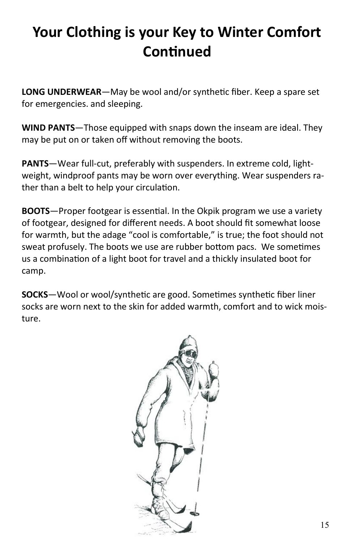### **Your Clothing is your Key to Winter Comfort Continued**

**LONG UNDERWEAR**—May be wool and/or synthetic fiber. Keep a spare set for emergencies. and sleeping.

**WIND PANTS**—Those equipped with snaps down the inseam are ideal. They may be put on or taken off without removing the boots.

**PANTS**—Wear full-cut, preferably with suspenders. In extreme cold, lightweight, windproof pants may be worn over everything. Wear suspenders rather than a belt to help your circulation.

**BOOTS**—Proper footgear is essential. In the Okpik program we use a variety of footgear, designed for different needs. A boot should fit somewhat loose for warmth, but the adage "cool is comfortable," is true; the foot should not sweat profusely. The boots we use are rubber bottom pacs. We sometimes us a combination of a light boot for travel and a thickly insulated boot for camp.

**SOCKS**—Wool or wool/synthetic are good. Sometimes synthetic fiber liner socks are worn next to the skin for added warmth, comfort and to wick moisture.